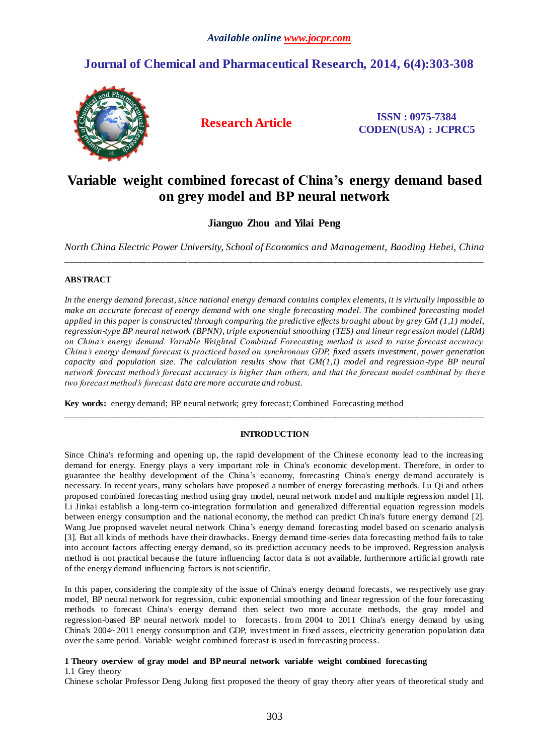## **Journal of Chemical and Pharmaceutical Research, 2014, 6(4):303-308**



**Research Article ISSN : 0975-7384 CODEN(USA) : JCPRC5**

# **Variable weight combined forecast of China's energy demand based on grey model and BP neural network**

## **Jianguo Zhou and Yilai Peng**

*North China Electric Power University, School of Economics and Management, Baoding Hebei, China*  \_\_\_\_\_\_\_\_\_\_\_\_\_\_\_\_\_\_\_\_\_\_\_\_\_\_\_\_\_\_\_\_\_\_\_\_\_\_\_\_\_\_\_\_\_\_\_\_\_\_\_\_\_\_\_\_\_\_\_\_\_\_\_\_\_\_\_\_\_\_\_\_\_\_\_\_\_\_\_\_\_\_\_\_\_\_\_\_\_\_\_\_\_

## **ABSTRACT**

*In the energy demand forecast, since national energy demand contains complex elements, it is virtually impossible to make an accurate forecast of energy demand with one single forecasting model. The combined forecasting model applied in this paper is constructed through comparing the predictive effects brought about by grey GM (1,1) model, regression-type BP neural network (BPNN), triple exponential smoothing (TES) and linear regression model (LRM) on China's energy demand. Variable Weighted Combined Forecasting method is used to raise forecast accuracy. China's energy demand forecast is practiced based on synchronous GDP, [fixed assets investment,](javascript:showjdsw() power generation capacity and population size. The calculation results show that GM(1,1) model and regression-type BP neural network forecast method's forecast accuracy is higher than others, and that the forecast model combined by thes e two forecast method's forecast data are more accurate and robust.*

**Key words:** energy demand; BP neural network; grey forecast; Combined Forecasting method

## **INTRODUCTION**

\_\_\_\_\_\_\_\_\_\_\_\_\_\_\_\_\_\_\_\_\_\_\_\_\_\_\_\_\_\_\_\_\_\_\_\_\_\_\_\_\_\_\_\_\_\_\_\_\_\_\_\_\_\_\_\_\_\_\_\_\_\_\_\_\_\_\_\_\_\_\_\_\_\_\_\_\_\_\_\_\_\_\_\_\_\_\_\_\_\_\_\_\_

Since China's reforming and opening up, the rapid development of the Chinese economy lead to the increasing demand for energy. Energy plays a very important role in China's economic development. Therefore, in order to guarantee the healthy development of the China's economy, forecasting China's energy demand accurately is necessary. In recent years, many scholars have proposed a number of energy forecasting methods. Lu Qi and others proposed combined forecasting method using gray model, neural network model and multiple regression model [1]. Li Jinkai establish a long-term co-integration formulation and generalized differential equation regression models between energy consumption and the national economy, the method can predict China's future energy demand [2]. Wang Jue proposed wavelet neural network China's energy demand forecasting model based on scenario analysis [3]. But all kinds of methods have their drawbacks. Energy demand time-series data forecasting method fails to take into account factors affecting energy demand, so its prediction accuracy needs to be improved. Regression analysis method is not practical because the future influencing factor data is not available, furthermore artificial growth rate of the energy demand influencing factors is not scientific.

In this paper, considering the complexity of the issue of China's energy demand forecasts, we respectively use gray model, BP neural network for regression, cubic exponential smoothing and linear regression of the four forecasting methods to forecast China's energy demand then select two more accurate methods, the gray model and regression-based BP neural network model to forecasts. from 2004 to 2011 China's energy demand by using China's 2004~2011 energy consumption and GDP, investment in fixed assets, electricity generation population data over the same period. Variable weight combined forecast is used in forecasting process.

### **1 Theory overview of gray model and BP neural network variable weight combined forecasting** 1.1 Grey theory

Chinese scholar Professor Deng Julong first proposed the theory of gray theory after years of theoretical study and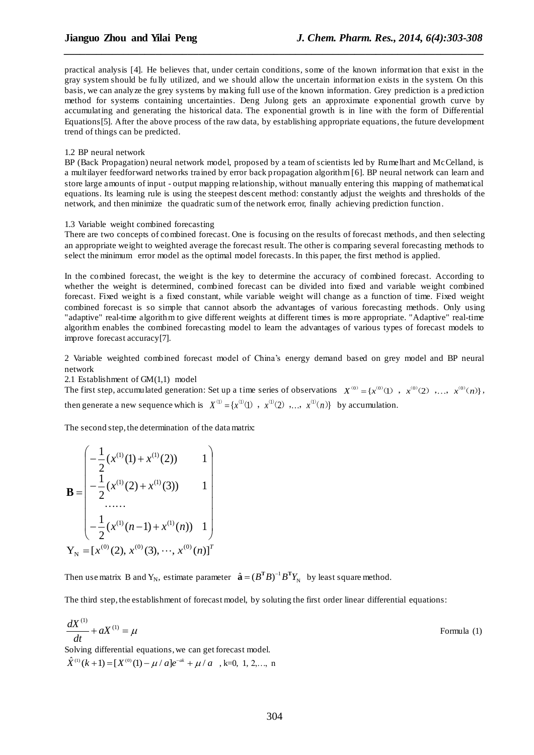practical analysis [4]. He believes that, under certain conditions, some of the known information that exist in the gray system should be fu lly utilized, and we should allow the uncertain information exists in the system. On this basis, we can analyze the grey systems by making full use of the known information. Grey prediction is a prediction method for systems containing uncertainties. Deng Julong gets an approximate exponential growth curve by accumulating and generating the historical data. The exponential growth is in line with the form of Differential Equations[5]. After the above process of the raw data, by establishing appropriate equations, the future development trend of things can be predicted.

*\_\_\_\_\_\_\_\_\_\_\_\_\_\_\_\_\_\_\_\_\_\_\_\_\_\_\_\_\_\_\_\_\_\_\_\_\_\_\_\_\_\_\_\_\_\_\_\_\_\_\_\_\_\_\_\_\_\_\_\_\_\_\_\_\_\_\_\_\_\_\_\_\_\_\_\_\_\_*

#### 1.2 BP neural network

BP (Back Propagation) neural network model, proposed by a team of scientists led by Rumelhart and McCelland, is a multilayer feedforward networks trained by error back propagation algorithm [6]. BP neural network can learn and store large amounts of input - output mapping relationship, without manually entering this mapping of mathematical equations. Its learning rule is using the steepest descent method: constantly adjust the weights and thresholds of the network, and then minimize the quadratic sum of the network error, finally achieving prediction function.

#### 1.3 Variable weight combined forecasting

There are two concepts of combined forecast. One is focusing on the results of forecast methods, and then selecting an appropriate weight to weighted average the forecast result. The other is comparing several forecasting methods to select the minimum error model as the optimal model forecasts. In this paper, the first method is applied.

In the combined forecast, the weight is the key to determine the accuracy of combined forecast. According to whether the weight is determined, combined forecast can be divided into fixed and variable weight combined forecast. Fixed weight is a fixed constant, while variable weight will change as a function of time. Fixed weight combined forecast is so simple that cannot absorb the advantages of various forecasting methods. Only using "adaptive" real-time algorithm to give different weights at different times is more appropriate. "Adaptive" real-time algorithm enables the combined forecasting model to learn the advantages of various types of forecast models to improve forecast accuracy[7].

2 Variable weighted combined forecast model of China's energy demand based on grey model and BP neural network

2.1 Establishment of GM(1,1) model

2.1 Establishment of GM(1,1) model<br>The first step, accumulated generation: Set up a time series of observations  $X^{(0)} = \{x^{(0)}(1), x^{(0)}(2), \ldots, x^{(0)}(n)\},$ then generate a new sequence which is  $X^{(1)} = \{x^{(1)}(1), x^{(1)}(2), \ldots, x^{(1)}(n)\}$  by accumulation.

The second step, the determination of the data matrix:

$$
\mathbf{B} = \begin{pmatrix}\n-\frac{1}{2}(x^{(1)}(1) + x^{(1)}(2)) & 1 \\
-\frac{1}{2}(x^{(1)}(2) + x^{(1)}(3)) & 1 \\
\vdots & \vdots & \ddots \\
-\frac{1}{2}(x^{(1)}(n-1) + x^{(1)}(n)) & 1\n\end{pmatrix}
$$
\n
$$
\mathbf{Y}_{N} = [x^{(0)}(2), x^{(0)}(3), \cdots, x^{(0)}(n)]^{T}
$$

Then use matrix B and  $Y_N$ , estimate parameter  $\hat{\mathbf{a}} = (B^T B)^{-1} B^T Y_N$  by least square method.

The third step, the establishment of forecast model, by soluting the first order linear differential equations:

$$
\frac{dX^{(1)}}{dt} + aX^{(1)} = \mu \tag{1}
$$
 Formula (1)

Solving differential equations, we can get forecast model. Solving differential equations, we can get  $\hat{X}^{(1)}(k+1) = [X^{(0)}(1) - \mu / a]e^{-ak} + \mu / a$ i, differential equations, we can get forecast model.<br>+1) =  $[X^{(0)}(1) - \mu / a]e^{-ak} + \mu / a$ , k=0, 1, 2,..., n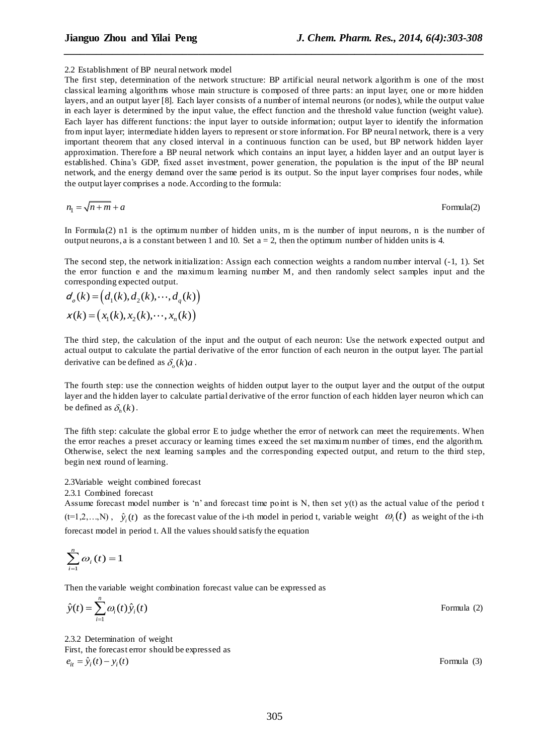#### 2.2 Establishment of BP neural network model

The first step, determination of the network structure: BP artificial neural network algorithm is one of the most classical learning algorithms whose main structure is composed of three parts: an input layer, one or more hidden layers, and an output layer [8]. Each layer consists of a number of internal neurons (or nodes), while the output value in each layer is determined by the input value, the effect function and the threshold value function (weight value). Each layer has different functions: the input layer to outside information; output layer to identify the information from input layer; intermediate hidden layers to represent or store information. For BP neural network, there is a very important theorem that any closed interval in a continuous function can be used, but BP network hidden layer approximation. Therefore a BP neural network which contains an input layer, a hidden layer and an output layer is established. China's GDP, fixed asset investment, power generation, the population is the input of the BP neural network, and the energy demand over the same period is its output. So the input layer comprises four nodes, while the output layer comprises a node. According to the formula:

*\_\_\_\_\_\_\_\_\_\_\_\_\_\_\_\_\_\_\_\_\_\_\_\_\_\_\_\_\_\_\_\_\_\_\_\_\_\_\_\_\_\_\_\_\_\_\_\_\_\_\_\_\_\_\_\_\_\_\_\_\_\_\_\_\_\_\_\_\_\_\_\_\_\_\_\_\_\_*

$$
n_1 = \sqrt{n+m} + a
$$
Formula(2)

In Formula(2) n1 is the optimum number of hidden units, m is the number of input neurons, n is the number of output neurons, a is a constant between 1 and 10. Set  $a = 2$ , then the optimum number of hidden units is 4.

The second step, the network initialization: Assign each connection weights a random number interval (-1, 1). Set the error function e and the maximum learning number M, and then randomly select samples input and the

corresponding expected output.  
\n
$$
d_o(k) = (d_1(k), d_2(k), \cdots, d_q(k))
$$
\n
$$
x(k) = (x_1(k), x_2(k), \cdots, x_n(k))
$$

The third step, the calculation of the input and the output of each neuron: Use the network expected output and actual output to calculate the partial derivative of the error function of each neuron in the output layer. The partial derivative can be defined as  $\delta_o(k)a$ .

The fourth step: use the connection weights of hidden output layer to the output layer and the output of the output layer and the hidden layer to calculate partial derivative of the error function of each hidden layer neuron which can be defined as  $\delta_h(k)$ .

The fifth step: calculate the global error E to judge whether the error of network can meet the requirements. When the error reaches a preset accuracy or learning times exceed the set maximum number of times, end the algorithm. Otherwise, select the next learning samples and the corresponding expected output, and return to the third step, begin next round of learning.

2.3Variable weight combined forecast

2.3.1 Combined forecast

Assume forecast model number is 'n' and forecast time point is N, then set y(t) as the actual value of the period t  $(t=1,2,...,N)$ ,  $\hat{y}_i(t)$  as the forecast value of the i-th model in period t, variable weight  $\omega_i(t)$  as weight of the i-th forecast model in period t. All the values should satisfy the equation

$$
\sum_{i=1}^n \omega_i(t) = 1
$$

Then the variable weight combination forecast value can be expressed as

$$
\hat{y}(t) = \sum_{i=1}^{n} \omega_i(t) \hat{y}_i(t)
$$
 Formula (2)

2.3.2 Determination of weight First, the forecast error should be expressed as  $e_{it} = \hat{y}_i(t) - y_i(t)$  Formula (3)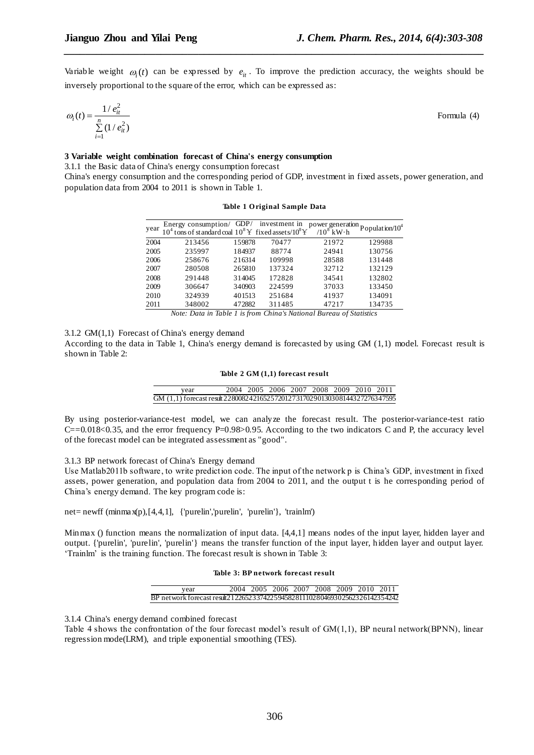Variable weight  $\omega_i(t)$  can be expressed by  $e_{it}$ . To improve the prediction accuracy, the weights should be inversely proportional to the square of the error, which can be expressed as:

*\_\_\_\_\_\_\_\_\_\_\_\_\_\_\_\_\_\_\_\_\_\_\_\_\_\_\_\_\_\_\_\_\_\_\_\_\_\_\_\_\_\_\_\_\_\_\_\_\_\_\_\_\_\_\_\_\_\_\_\_\_\_\_\_\_\_\_\_\_\_\_\_\_\_\_\_\_\_*

$$
\omega_i(t) = \frac{1/e_{it}^2}{\sum\limits_{i=1}^{n} (1/e_{it}^2)}
$$
 Formula (4)

## **3 Variable weight combination forecast of China's energy consumption**

3.1.1 the Basic data of China's energy consumption forecast

China's energy consumption and the corresponding period of GDP, investment in fixed assets, power generation, and population data from 2004 to 2011 is shown in Table 1.

| year | Energy consumption/<br>$10^4$ tons of standard coal $10^8$ Y fixed assets/ $10^8$ Y |        | GDP/ investment in | power generation<br>$/10^8$ kW h | Population/ $10^4$ |
|------|-------------------------------------------------------------------------------------|--------|--------------------|----------------------------------|--------------------|
| 2004 | 213456                                                                              | 159878 | 70477              | 21972                            | 129988             |
| 2005 | 235997                                                                              | 184937 | 88774              | 24941                            | 130756             |
| 2006 | 258676                                                                              | 216314 | 109998             | 28588                            | 131448             |
| 2007 | 280508                                                                              | 265810 | 137324             | 32712                            | 132129             |
| 2008 | 291448                                                                              | 314045 | 172828             | 34541                            | 132802             |
| 2009 | 306647                                                                              | 340903 | 224599             | 37033                            | 133450             |
| 2010 | 324939                                                                              | 401513 | 251684             | 41937                            | 134091             |
| 2011 | 348002                                                                              | 472882 | 311485             | 47217                            | 134735             |

## **Table 1 O riginal Sample Data**

*Note: Data in Table 1 is from China's National Bureau of Statistics*

3.1.2 GM(1,1) Forecast of China's energy demand

According to the data in Table 1, China's energy demand is forecasted by using GM (1,1) model. Forecast result is shown in Table 2:

|  |  |  |  | Table 2 GM (1,1) forecast result |  |
|--|--|--|--|----------------------------------|--|
|--|--|--|--|----------------------------------|--|

| vear                                                                      |  | 2004 2005 2006 2007 2008 2009 2010 2011 |  |  |  |
|---------------------------------------------------------------------------|--|-----------------------------------------|--|--|--|
| GM (1,1) forecast result 228008242165257201273170290130308144327276347595 |  |                                         |  |  |  |

By using posterior-variance-test model, we can analyze the forecast result. The posterior-variance-test ratio  $C=0.018<0.35$ , and the error frequency P=0.98>0.95. According to the two indicators C and P, the accuracy level of the forecast model can be integrated assessment as "good".

3.1.3 BP network forecast of China's Energy demand

Use Matlab2011b software, to write prediction code. The input of the network p is China's GDP, investment in fixed assets, power generation, and population data from 2004 to 2011, and the output t is he corresponding period of China's energy demand. The key program code is:

net= newff (minmax(p),[4,4,1], {'purelin','purelin', 'purelin'}, 'trainlm')

Minmax () function means the normalization of input data. [4,4,1] means nodes of the input layer, hidden layer and output. {'purelin', 'purelin', 'purelin'} means the transfer function of the input layer, hidden layer and output layer. 'Trainlm' is the training function. The forecast result is shown in Table 3:

#### **Table 3: BP network forecast result**

| year                                                                        | 2004 2005 2006 2007 2008 2009 2010 2011 |  |  |  |
|-----------------------------------------------------------------------------|-----------------------------------------|--|--|--|
| BP network forecast result 212265233742259458281110280469302562326142354242 |                                         |  |  |  |

3.1.4 China's energy demand combined forecast

Table 4 shows the confrontation of the four forecast model's result of GM(1,1), BP neural network(BPNN), linear regression mode(LRM), and triple exponential smoothing (TES).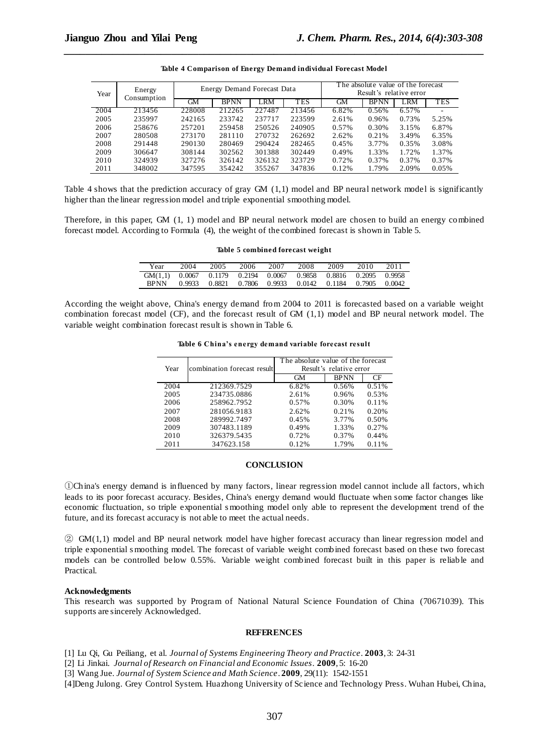| Year | Energy      |        | Energy Demand Forecast Data |        |            | The absolute value of the forecast<br>Result's relative error |             |            |            |
|------|-------------|--------|-----------------------------|--------|------------|---------------------------------------------------------------|-------------|------------|------------|
|      | Consumption | GМ     | <b>BPNN</b>                 | LRM    | <b>TES</b> | GМ                                                            | <b>BPNN</b> | <b>LRM</b> | <b>TES</b> |
| 2004 | 213456      | 228008 | 212265                      | 227487 | 213456     | 6.82%                                                         | 0.56%       | 6.57%      |            |
| 2005 | 235997      | 242165 | 233742                      | 237717 | 223599     | 2.61%                                                         | 0.96%       | 0.73%      | 5.25%      |
| 2006 | 258676      | 257201 | 259458                      | 250526 | 240905     | 0.57%                                                         | 0.30%       | 3.15%      | 6.87%      |
| 2007 | 280508      | 273170 | 281110                      | 270732 | 262692     | 2.62%                                                         | 0.21%       | 3.49%      | 6.35%      |
| 2008 | 291448      | 290130 | 280469                      | 290424 | 282465     | 0.45%                                                         | 3.77%       | 0.35%      | 3.08%      |
| 2009 | 306647      | 308144 | 302562                      | 301388 | 302449     | 0.49%                                                         | 1.33%       | 1.72%      | 1.37%      |
| 2010 | 324939      | 327276 | 326142                      | 326132 | 323729     | 0.72%                                                         | 0.37%       | 0.37%      | 0.37%      |
| 2011 | 348002      | 347595 | 354242                      | 355267 | 347836     | 0.12%                                                         | 1.79%       | 2.09%      | 0.05%      |

| Table 4 Comparison of Energy Demand individual Forecast Model |
|---------------------------------------------------------------|

Table 4 shows that the prediction accuracy of gray GM (1,1) model and BP neural network model is significantly higher than the linear regression model and triple exponential smoothing model.

Therefore, in this paper, GM (1, 1) model and BP neural network model are chosen to build an energy combined forecast model. According to Formula (4), the weight of the combined forecast is shown in Table 5.

#### **Table 5 combined forecast weight**

| Year        | 2004   | 2005 | 2006 | 2007 | 2008                                                    | 2009 | 2010 | 2011 |
|-------------|--------|------|------|------|---------------------------------------------------------|------|------|------|
| GM(1.1)     |        |      |      |      | 0.0067 0.1179 0.2194 0.0067 0.9858 0.8816 0.2095 0.9958 |      |      |      |
| <b>BPNN</b> | 0.9933 |      |      |      | 0.8821 0.7806 0.9933 0.0142 0.1184 0.7905 0.0042        |      |      |      |

According the weight above, China's energy demand from 2004 to 2011 is forecasted based on a variable weight combination forecast model (CF), and the forecast result of GM (1,1) model and BP neural network model. The variable weight combination forecast result is shown in Table 6.

#### **Table 6 China's energy demand variable forecast result**

| Year | combination forecast result | The absolute value of the forecast<br>Result's relative error |             |       |  |  |  |
|------|-----------------------------|---------------------------------------------------------------|-------------|-------|--|--|--|
|      |                             | GМ                                                            | <b>BPNN</b> | CF    |  |  |  |
| 2004 | 212369.7529                 | 6.82%                                                         | 0.56%       | 0.51% |  |  |  |
| 2005 | 234735.0886                 | 2.61%                                                         | 0.96%       | 0.53% |  |  |  |
| 2006 | 258962.7952                 | 0.57%                                                         | 0.30%       | 0.11% |  |  |  |
| 2007 | 281056.9183                 | 2.62%                                                         | 0.21%       | 0.20% |  |  |  |
| 2008 | 289992.7497                 | 0.45%                                                         | 3.77%       | 0.50% |  |  |  |
| 2009 | 307483.1189                 | 0.49%                                                         | 1.33%       | 0.27% |  |  |  |
| 2010 | 326379.5435                 | 0.72%                                                         | 0.37%       | 0.44% |  |  |  |
| 2011 | 347623.158                  | 0.12%                                                         | 1.79%       | 0.11% |  |  |  |
|      |                             |                                                               |             |       |  |  |  |

#### **CONCLUSION**

①China's energy demand is influenced by many factors, linear regression model cannot include all factors, which leads to its poor forecast accuracy. Besides, China's energy demand would fluctuate when some factor changes like economic fluctuation, so triple exponential s moothing model only able to represent the development trend of the future, and its forecast accuracy is not able to meet the actual needs.

② GM(1,1) model and BP neural network model have higher forecast accuracy than linear regression model and triple exponential s moothing model. The forecast of variable weight combined forecast based on these two forecast models can be controlled below 0.55%. Variable weight combined forecast built in this paper is reliable and Practical.

#### **Acknowledgments**

This research was supported by Program of National Natural Science Foundation of China (70671039). This supports are sincerely Acknowledged.

### **REFERENCES**

[1] Lu Qi, Gu Peiliang, et al. *Journal of Systems Engineering Theory and Practice*. **2003**, 3: 24-31

[2] Li Jinkai. *Journal of Research on Financial and Economic Issues*. **2009**, 5: 16-20

[3] Wang Jue. *Journal of System Science and Math Science*. **2009**, 29(11): 1542-1551

[4]Deng Julong. Grey Control System. Huazhong University of Science and Technology Press. Wuhan Hubei, China,